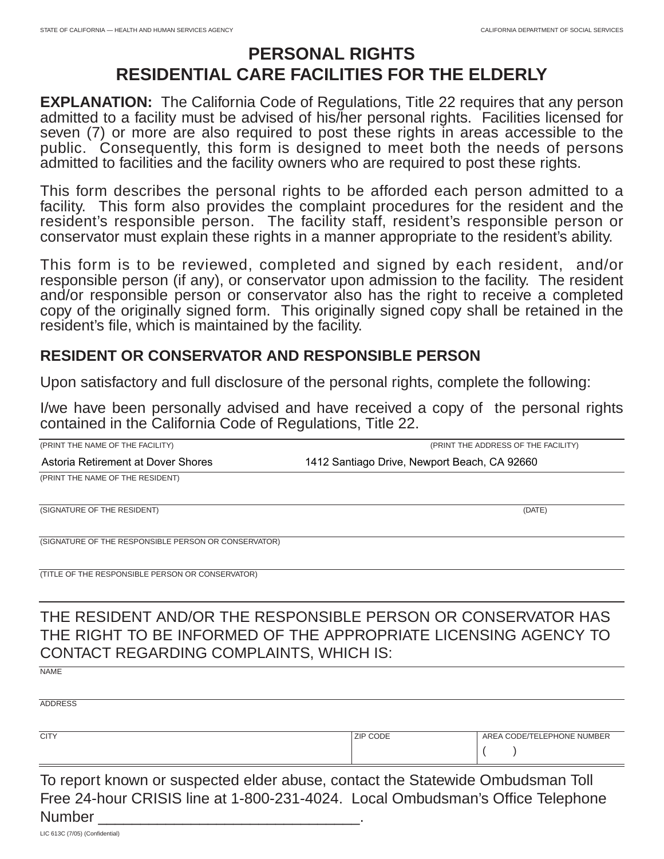## **PERSONAL RIGHTS RESIDENTIAL CARE FACILITIES FOR THE ELDERLY**

**EXPLANATION:** The California Code of Regulations, Title 22 requires that any person admitted to a facility must be advised of his/her personal rights. Facilities licensed for seven (7) or more are also required to post these rights in areas accessible to the public. Consequently, this form is designed to meet both the needs of persons admitted to facilities and the facility owners who are required to post these rights.

This form describes the personal rights to be afforded each person admitted to a facility. This form also provides the complaint procedures for the resident and the resident's responsible person. The facility staff, resident's responsible person or conservator must explain these rights in a manner appropriate to the resident's ability.

This form is to be reviewed, completed and signed by each resident, and/or responsible person (if any), or conservator upon admission to the facility. The resident and/or responsible person or conservator also has the right to receive a completed copy of the originally signed form. This originally signed copy shall be retained in the resident's file, which is maintained by the facility.

## **RESIDENT OR CONSERVATOR AND RESPONSIBLE PERSON**

Upon satisfactory and full disclosure of the personal rights, complete the following:

I/we have been personally advised and have received a copy of the personal rights contained in the California Code of Regulations, Title 22.

| (PRINT THE NAME OF THE FACILITY)                     | (PRINT THE ADDRESS OF THE FACILITY)                                                                                              |
|------------------------------------------------------|----------------------------------------------------------------------------------------------------------------------------------|
| Astoria Retirement at Dover Shores                   | 1412 Santiago Drive, Newport Beach, CA 92660                                                                                     |
| (PRINT THE NAME OF THE RESIDENT)                     |                                                                                                                                  |
| (SIGNATURE OF THE RESIDENT)                          | (DATE)                                                                                                                           |
| (SIGNATURE OF THE RESPONSIBLE PERSON OR CONSERVATOR) |                                                                                                                                  |
| (TITLE OF THE RESPONSIBLE PERSON OR CONSERVATOR)     |                                                                                                                                  |
| <b>CONTACT REGARDING COMPLAINTS, WHICH IS:</b>       | THE RESIDENT AND/OR THE RESPONSIBLE PERSON OR CONSERVATOR HAS<br>THE RIGHT TO BE INFORMED OF THE APPROPRIATE LICENSING AGENCY TO |
| <b>NAME</b>                                          |                                                                                                                                  |
| <b>ADDRESS</b>                                       |                                                                                                                                  |
| <b>CITY</b>                                          | <b>ZIP CODE</b><br>AREA CODE/TELEPHONE NUMBER                                                                                    |

To report known or suspected elder abuse, contact the Statewide Ombudsman Toll Free 24-hour CRISIS line at 1-800-231-4024. Local Ombudsman's Office Telephone Number

 $($ 

LIC 613C (7/05) (Confidential)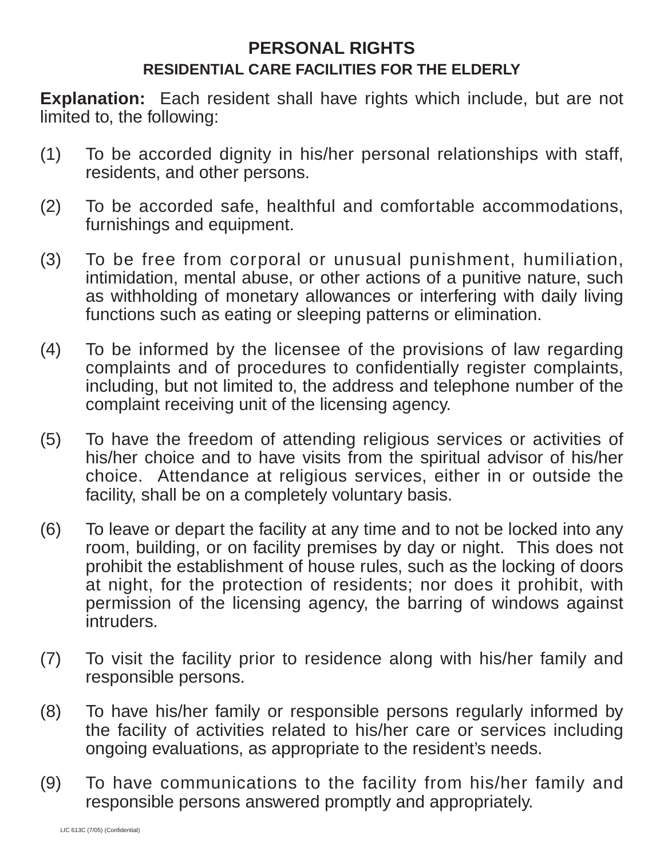## **PERSONAL RIGHTS RESIDENTIAL CARE FACILITIES FOR THE ELDERLY**

**Explanation:** Each resident shall have rights which include, but are not limited to, the following:

- (1) To be accorded dignity in his/her personal relationships with staff, residents, and other persons.
- (2) To be accorded safe, healthful and comfortable accommodations, furnishings and equipment.
- (3) To be free from corporal or unusual punishment, humiliation, intimidation, mental abuse, or other actions of a punitive nature, such as withholding of monetary allowances or interfering with daily living functions such as eating or sleeping patterns or elimination.
- (4) To be informed by the licensee of the provisions of law regarding complaints and of procedures to confidentially register complaints, including, but not limited to, the address and telephone number of the complaint receiving unit of the licensing agency.
- (5) To have the freedom of attending religious services or activities of his/her choice and to have visits from the spiritual advisor of his/her choice. Attendance at religious services, either in or outside the facility, shall be on a completely voluntary basis.
- (6) To leave or depart the facility at any time and to not be locked into any room, building, or on facility premises by day or night. This does not prohibit the establishment of house rules, such as the locking of doors at night, for the protection of residents; nor does it prohibit, with permission of the licensing agency, the barring of windows against intruders.
- (7) To visit the facility prior to residence along with his/her family and responsible persons.
- (8) To have his/her family or responsible persons regularly informed by the facility of activities related to his/her care or services including ongoing evaluations, as appropriate to the resident's needs.
- (9) To have communications to the facility from his/her family and responsible persons answered promptly and appropriately.